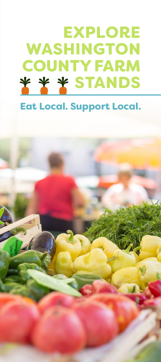# EXPLORE WASHINGTON COUNTY FARM \* \* \* STANDS

### Eat Local. Support Local.

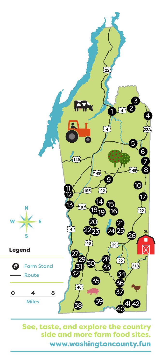

See, taste, and explore the country side and more farm food sites. www.washingtoncounty.fun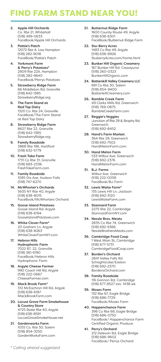#### FIND FARM STAND NEAR YOU!

- 2. Apple Hill Orchards Co. Rte 21, Whitehall (518) 499-0633 FaceBook/Apple Hill Orchards
- 3. Pattie's Patch 12072 Rte 4, Low Hampton (518) 282-9018 FaceBook/Pattie's Patch
- 4. Yorkmont Farm & Perry's Potatoes\* 2809 Rte 22A, Hampton (518) 282-9640 FaceBook/Perrys Potatoes
- 5. Strawberry Ridge Farm 66 Middleton Rd, Granville (518) 642-1385 StrawberryRidge.org
- 6. The Farm Stand at Red Top Dairy 1320 Co. Rte 24, Granville FaceBook/The Farm Stand at Red Top Dairy
- 8. Strawberry Ridge Farm 8627 Rte 22, Granville (518) 642-1385 StrawberryRidge.org
- 9. Family Roadside 3868 Rte 196, Hartford (518) 632-5779
- 10. Fresh Take Farm 1731 Co Rte 31, Granville (518) 683-2336 FreshTakeFarm.com
- 11. Family Roadside 1085 Dix Ave, Hudson Falls (518) 747-6270
- 14. McWhorter's Orchards 5635 NY Rte 40, Argyle (518) 638-8015 FaceBook/McWhorters Orchard
- 15. Goose Island Potatoes Goose Island Rd, Argyle (518) 638-6194 GooseIslandPotatoes.com
- 16. White Clover Farm\* 20 Graham Ln, Argyle (518) 638-8263 WhiteCloverFarmNY.com
- 17. Hebron Hills Hydrophonic Farm 7022 RT. 22, Granville (518) 361-6190 FaceBook/Hebron Hills Hydrophonic Farm
- 18. Argyle Cheese Farmer 990 Coach Hill Rd, Argyle (518) 222-0667 CheeseFarmer.com
- 19. Mack Brook Farm\* 312 McEachron Hill Rd, Argyle (518) 638-6187 MackBrookFarm.com
- 20. Locust Grove Farm Smokehouse & Country Store 4725 State Rte 40, Argyle (518) 638-8591 LocustGroveSmokeHouse.net
- 21. Gardenworks Farm 1055 Co. Rte 30, Salem (518) 854-3250 GardenWorksFarm.com
- 21. Butternut Ridge Farm 1600 County Route 49, Argyle (518) 638-6301 FaceBook/Butternut Ridge Farm
- 22. Stu-Berry Acres 1483 Co Rte 49, Argyle (518) 638-8926 StuberryAcres.com/home.html
- 23. Bunker Hill Organic Creamery 167 Bunker Hill Rd, Cassayuna (518) 260-0323 BunkerHillOrganic.com
- 24. Battenkill Valley Creamery LLC 691 Co Rte 30, Salem (518) 854-9400 BattenkillCreamery.com
- 26. Ramble Creek Farm 49 Clarks Mills Rd, Greenwich (518) 769-0875 RambleCreekFarm.com
- 27. Reggie's Veggies Junction of Rte 29 & Brophy Rd, Greenwich (518) 692-8452
- 28. Hand's Farm Market 364 Rte 29, Greenwich (518) 692-7502 HandMelonFarm.com
- 30. Hand Melon Farm 533 Wilbur Ave, Greenwich (518) 692-2376 HandMelonFarm.com
- 31. B.J. Farms Wilbur Ave, Greenwich (518) 222-0058 FaceBook/BJ Farm
- 32. Lewis Waite Farm\* 135 Lewis Hill Ln, Jackson (518) 692-3120 LewisWaiteFarm.com
- 33. Stannard Farm 2275 Rte 22, Cambridge StannardFarmNY.com
- 34. Nessle Bros. Meats 2835 Co Rte 74, Greenwich (518) 692-9366 NessleBrothersMeats.com
- 36. Cambridge Food Coop 1 West Main St, Cambridge (518) 677-5731 CambridgeFoodCoop.com
- 37. Borden's Orchard 2841 Valley Falls Rd Schaghticoke/Easton (518) 692-2370 BordensOrchard.com
- 38. Family Roadside 116 Gannon Rd, Cambridge (518) 677-8527 ext. 1438 wk
- 39. Moses Farm 132 Rte 67, Eagle Bridge (518) 686-7729 FaceBook/Moses Farm
- 40. Happenchance Farm 396 Co Rte 68, Eagle Bridge (518) 686-0750 FaceBook/ Happenchance Farm Certified Organic Produce
- 41. Perry's Orchard 212 Delevan Rd, Eagle Bridge (518) 686-9602 FaceBook/ Perrys Orchard